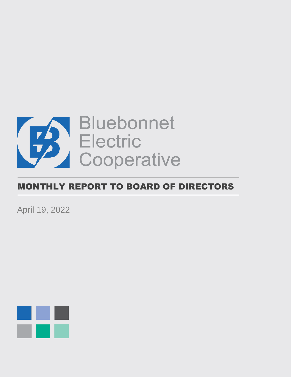

# MONTHLY REPORT TO BOARD OF DIRECTORS

April 19, 2022

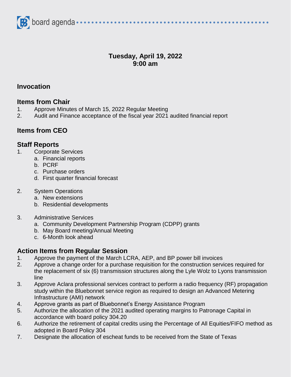

# **Tuesday, April 19, 2022 9:00 am**

#### **Invocation**

#### **Items from Chair**

- 1. Approve Minutes of March 15, 2022 Regular Meeting
- 2. Audit and Finance acceptance of the fiscal year 2021 audited financial report

## **Items from CEO**

#### **Staff Reports**

- 1. Corporate Services
	- a. Financial reports
	- b. PCRF
	- c. Purchase orders
	- d. First quarter financial forecast
- 2. System Operations
	- a. New extensions
	- b. Residential developments
- 3. Administrative Services
	- a. Community Development Partnership Program (CDPP) grants
	- b. May Board meeting/Annual Meeting
	- c. 6-Month look ahead

# **Action Items from Regular Session**

- 1. Approve the payment of the March LCRA, AEP, and BP power bill invoices
- 2. Approve a change order for a purchase requisition for the construction services required for the replacement of six (6) transmission structures along the Lyle Wolz to Lyons transmission line
- 3. Approve Aclara professional services contract to perform a radio frequency (RF) propagation study within the Bluebonnet service region as required to design an Advanced Metering Infrastructure (AMI) network
- 4. Approve grants as part of Bluebonnet's Energy Assistance Program
- 5. Authorize the allocation of the 2021 audited operating margins to Patronage Capital in accordance with board policy 304.20
- 6. Authorize the retirement of capital credits using the Percentage of All Equities/FIFO method as adopted in Board Policy 304
- 7. Designate the allocation of escheat funds to be received from the State of Texas